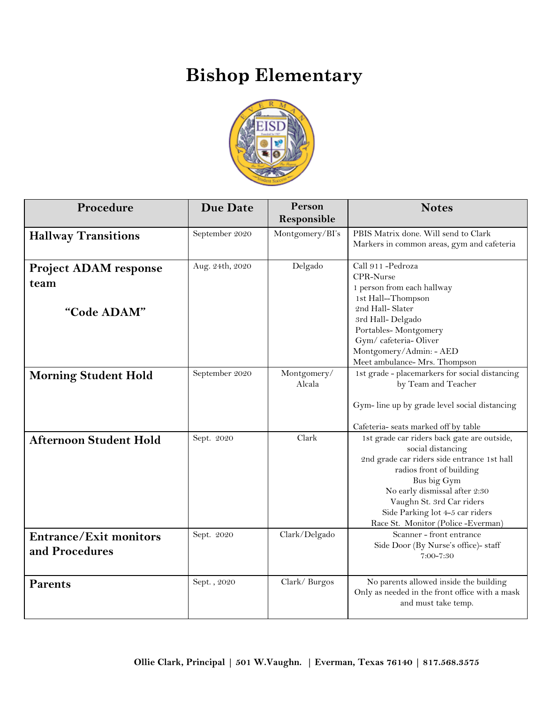## **Bishop Elementary**



| Procedure                                           | <b>Due Date</b> | Person<br>Responsible | <b>Notes</b>                                                                                                                                                                                                                                                                                      |
|-----------------------------------------------------|-----------------|-----------------------|---------------------------------------------------------------------------------------------------------------------------------------------------------------------------------------------------------------------------------------------------------------------------------------------------|
| <b>Hallway Transitions</b>                          | September 2020  | Montgomery/BI's       | PBIS Matrix done. Will send to Clark<br>Markers in common areas, gym and cafeteria                                                                                                                                                                                                                |
| <b>Project ADAM response</b><br>team<br>"Code ADAM" | Aug. 24th, 2020 | Delgado               | Call 911-Pedroza<br>CPR-Nurse<br>1 person from each hallway<br>1st Hall-Thompson<br>2nd Hall-Slater<br>3rd Hall-Delgado<br>Portables-Montgomery<br>Gym/cafeteria-Oliver<br>Montgomery/Admin: - AED<br>Meet ambulance- Mrs. Thompson                                                               |
| <b>Morning Student Hold</b>                         | September 2020  | Montgomery/<br>Alcala | 1st grade - placemarkers for social distancing<br>by Team and Teacher<br>Gym-line up by grade level social distancing<br>Cafeteria- seats marked off by table                                                                                                                                     |
| <b>Afternoon Student Hold</b>                       | Sept. 2020      | Clark                 | 1st grade car riders back gate are outside,<br>social distancing<br>2nd grade car riders side entrance 1st hall<br>radios front of building<br>Bus big Gym<br>No early dismissal after 2:30<br>Vaughn St. 3rd Car riders<br>Side Parking lot 4-5 car riders<br>Race St. Monitor (Police -Everman) |
| <b>Entrance/Exit monitors</b><br>and Procedures     | Sept. 2020      | Clark/Delgado         | Scanner - front entrance<br>Side Door (By Nurse's office)- staff<br>7:00-7:30                                                                                                                                                                                                                     |
| <b>Parents</b>                                      | Sept., 2020     | Clark/Burgos          | No parents allowed inside the building<br>Only as needed in the front office with a mask<br>and must take temp.                                                                                                                                                                                   |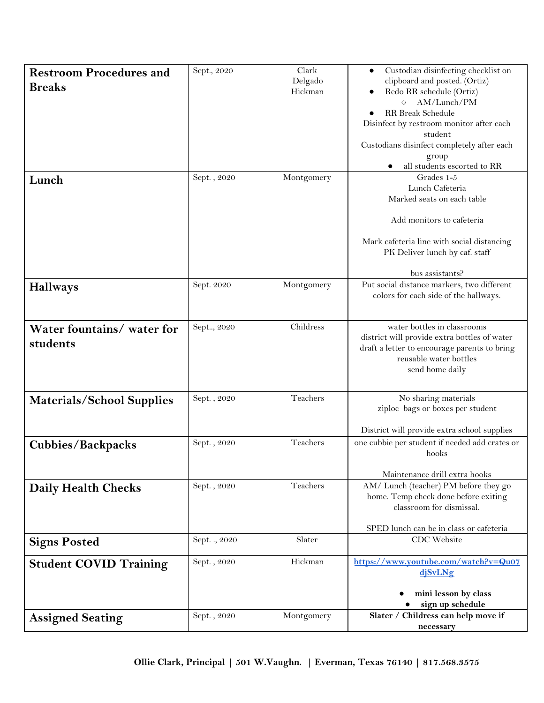| <b>Restroom Procedures and</b>   | Sept., 2020   | Clark      | Custodian disinfecting checklist on<br>٠                               |
|----------------------------------|---------------|------------|------------------------------------------------------------------------|
| <b>Breaks</b>                    |               | Delgado    | clipboard and posted. (Ortiz)                                          |
|                                  |               | Hickman    | Redo RR schedule (Ortiz)<br>AM/Lunch/PM                                |
|                                  |               |            | $\circ$<br>RR Break Schedule                                           |
|                                  |               |            | Disinfect by restroom monitor after each                               |
|                                  |               |            | student                                                                |
|                                  |               |            | Custodians disinfect completely after each                             |
|                                  |               |            | group                                                                  |
|                                  |               |            | all students escorted to RR                                            |
| Lunch                            | Sept., 2020   | Montgomery | Grades 1-5                                                             |
|                                  |               |            | Lunch Cafeteria                                                        |
|                                  |               |            | Marked seats on each table                                             |
|                                  |               |            | Add monitors to cafeteria                                              |
|                                  |               |            |                                                                        |
|                                  |               |            | Mark cafeteria line with social distancing                             |
|                                  |               |            | PK Deliver lunch by caf. staff                                         |
|                                  |               |            | bus assistants?                                                        |
| <b>Hallways</b>                  | Sept. 2020    | Montgomery | Put social distance markers, two different                             |
|                                  |               |            | colors for each side of the hallways.                                  |
|                                  |               |            |                                                                        |
| Water fountains/ water for       | Sept, 2020    | Childress  | water bottles in classrooms                                            |
| students                         |               |            | district will provide extra bottles of water                           |
|                                  |               |            | draft a letter to encourage parents to bring                           |
|                                  |               |            | reusable water bottles                                                 |
|                                  |               |            | send home daily                                                        |
|                                  |               |            |                                                                        |
| <b>Materials/School Supplies</b> | Sept., 2020   | Teachers   | No sharing materials                                                   |
|                                  |               |            | ziploc bags or boxes per student                                       |
|                                  |               |            | District will provide extra school supplies                            |
| <b>Cubbies/Backpacks</b>         | Sept., 2020   | Teachers   | one cubbie per student if needed add crates or                         |
|                                  |               |            | hooks                                                                  |
|                                  |               |            |                                                                        |
|                                  | Sept., 2020   | Teachers   | Maintenance drill extra hooks<br>AM/ Lunch (teacher) PM before they go |
| Daily Health Checks              |               |            | home. Temp check done before exiting                                   |
|                                  |               |            | classroom for dismissal.                                               |
|                                  |               |            |                                                                        |
|                                  |               |            | SPED lunch can be in class or cafeteria                                |
| <b>Signs Posted</b>              | Sept. ., 2020 | Slater     | CDC Website                                                            |
| <b>Student COVID Training</b>    | Sept., 2020   | Hickman    | https://www.youtube.com/watch?v=Qu07                                   |
|                                  |               |            | djSvLNg                                                                |
|                                  |               |            |                                                                        |
|                                  |               |            | mini lesson by class                                                   |
|                                  |               |            | sign up schedule                                                       |
| <b>Assigned Seating</b>          | Sept., 2020   | Montgomery | Slater / Childress can help move if<br>necessary                       |
|                                  |               |            |                                                                        |